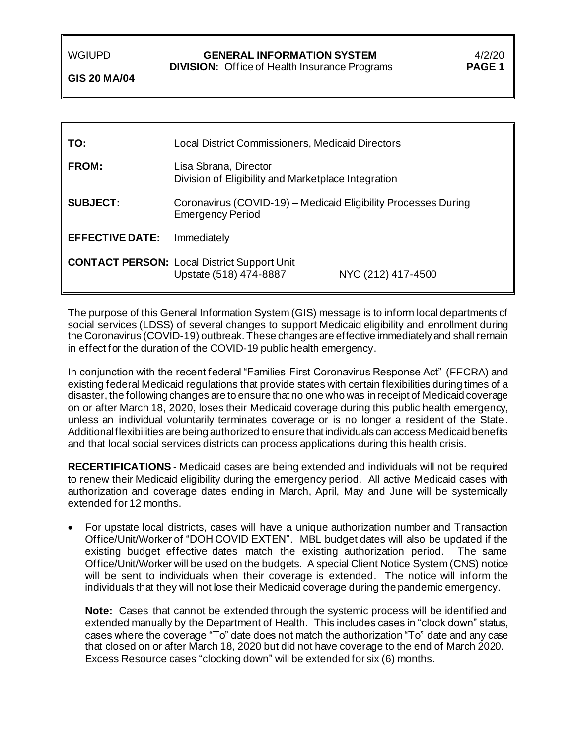### WGIUPD **GENERAL INFORMATION SYSTEM** 4/2/20

 **DIVISION:** Office of Health Insurance Programs **PAGE 1**

**GIS 20 MA/04**

| TO:                    | Local District Commissioners, Medicaid Directors                                          |                    |  |
|------------------------|-------------------------------------------------------------------------------------------|--------------------|--|
| <b>FROM:</b>           | Lisa Sbrana, Director<br>Division of Eligibility and Marketplace Integration              |                    |  |
| <b>SUBJECT:</b>        | Coronavirus (COVID-19) - Medicaid Eligibility Processes During<br><b>Emergency Period</b> |                    |  |
| <b>EFFECTIVE DATE:</b> | Immediately                                                                               |                    |  |
|                        | <b>CONTACT PERSON: Local District Support Unit</b><br>Upstate (518) 474-8887              | NYC (212) 417-4500 |  |

The purpose of this General Information System (GIS) message is to inform local departments of social services (LDSS) of several changes to support Medicaid eligibility and enrollment during the Coronavirus (COVID-19) outbreak.These changes are effective immediately and shall remain in effect for the duration of the COVID-19 public health emergency.

In conjunction with the recent federal "Families First Coronavirus Response Act" (FFCRA) and existing federal Medicaid regulations that provide states with certain flexibilities during times of a disaster, the following changes are to ensure that no one who was in receipt of Medicaid coverage on or after March 18, 2020, loses their Medicaid coverage during this public health emergency, unless an individual voluntarily terminates coverage or is no longer a resident of the State . Additional flexibilities are being authorized to ensure that individuals can access Medicaid benefits and that local social services districts can process applications during this health crisis.

**RECERTIFICATIONS** - Medicaid cases are being extended and individuals will not be required to renew their Medicaid eligibility during the emergency period. All active Medicaid cases with authorization and coverage dates ending in March, April, May and June will be systemically extended for 12 months.

• For upstate local districts, cases will have a unique authorization number and Transaction Office/Unit/Worker of "DOH COVID EXTEN". MBL budget dates will also be updated if the existing budget effective dates match the existing authorization period. The same Office/Unit/Worker will be used on the budgets. A special Client Notice System (CNS) notice will be sent to individuals when their coverage is extended. The notice will inform the individuals that they will not lose their Medicaid coverage during the pandemic emergency.

**Note:** Cases that cannot be extended through the systemic process will be identified and extended manually by the Department of Health. This includes cases in "clock down" status, cases where the coverage "To" date does not match the authorization "To" date and any case that closed on or after March 18, 2020 but did not have coverage to the end of March 2020. Excess Resource cases "clocking down" will be extended for six (6) months.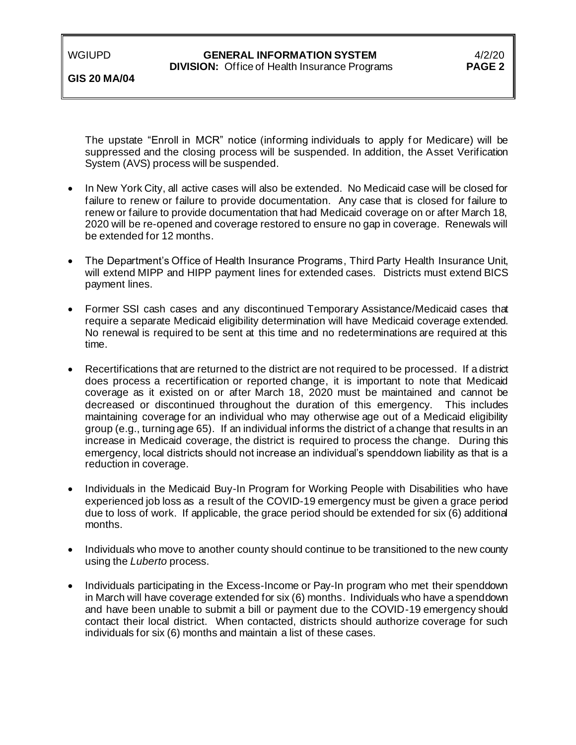## WGIUPD **GENERAL INFORMATION SYSTEM** 4/2/20<br>**DIVISION:** Office of Health Insurance Programs **PAGE 2**

### **DIVISION:** Office of Health Insurance Programs

**GIS 20 MA/04**

The upstate "Enroll in MCR" notice (informing individuals to apply for Medicare) will be suppressed and the closing process will be suspended. In addition, the Asset Verification System (AVS) process will be suspended.

- In New York City, all active cases will also be extended. No Medicaid case will be closed for failure to renew or failure to provide documentation. Any case that is closed for failure to renew or failure to provide documentation that had Medicaid coverage on or after March 18, 2020 will be re-opened and coverage restored to ensure no gap in coverage. Renewals will be extended for 12 months.
- The Department's Office of Health Insurance Programs, Third Party Health Insurance Unit, will extend MIPP and HIPP payment lines for extended cases. Districts must extend BICS payment lines.
- Former SSI cash cases and any discontinued Temporary Assistance/Medicaid cases that require a separate Medicaid eligibility determination will have Medicaid coverage extended. No renewal is required to be sent at this time and no redeterminations are required at this time.
- Recertifications that are returned to the district are not required to be processed. If a district does process a recertification or reported change, it is important to note that Medicaid coverage as it existed on or after March 18, 2020 must be maintained and cannot be decreased or discontinued throughout the duration of this emergency. This includes maintaining coverage for an individual who may otherwise age out of a Medicaid eligibility group (e.g., turning age 65). If an individual informs the district of a change that results in an increase in Medicaid coverage, the district is required to process the change. During this emergency, local districts should not increase an individual's spenddown liability as that is a reduction in coverage.
- Individuals in the Medicaid Buy-In Program for Working People with Disabilities who have experienced job loss as a result of the COVID-19 emergency must be given a grace period due to loss of work. If applicable, the grace period should be extended for six (6) additional months.
- Individuals who move to another county should continue to be transitioned to the new county using the *Luberto* process.
- Individuals participating in the Excess-Income or Pay-In program who met their spenddown in March will have coverage extended for six (6) months. Individuals who have a spenddown and have been unable to submit a bill or payment due to the COVID-19 emergency should contact their local district. When contacted, districts should authorize coverage for such individuals for six (6) months and maintain a list of these cases.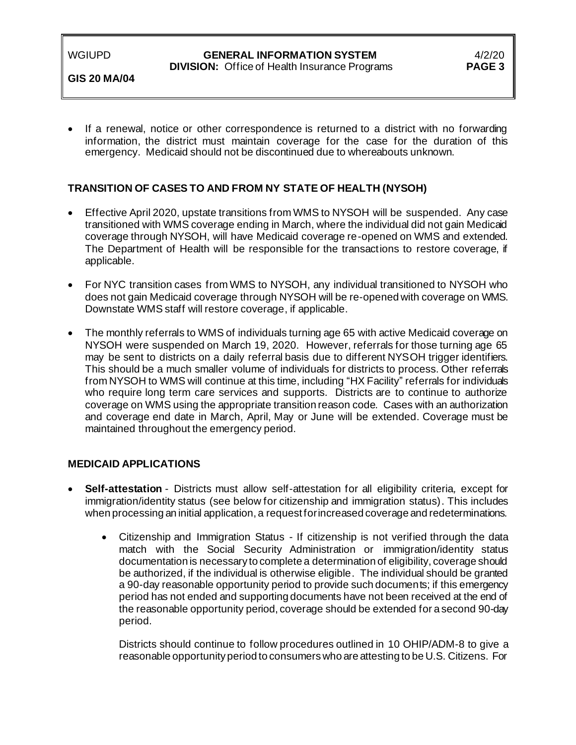#### WGIUPD **GENERAL INFORMATION SYSTEM** 4/2/20  **DIVISION:** Office of Health Insurance Programs **PAGE 3**

**GIS 20 MA/04**

If a renewal, notice or other correspondence is returned to a district with no forwarding information, the district must maintain coverage for the case for the duration of this emergency. Medicaid should not be discontinued due to whereabouts unknown.

## **TRANSITION OF CASES TO AND FROM NY STATE OF HEALTH (NYSOH)**

- Effective April 2020, upstate transitions from WMS to NYSOH will be suspended. Any case transitioned with WMS coverage ending in March, where the individual did not gain Medicaid coverage through NYSOH, will have Medicaid coverage re-opened on WMS and extended. The Department of Health will be responsible for the transactions to restore coverage, if applicable.
- For NYC transition cases from WMS to NYSOH, any individual transitioned to NYSOH who does not gain Medicaid coverage through NYSOH will be re-opened with coverage on WMS. Downstate WMS staff will restore coverage, if applicable.
- The monthly referrals to WMS of individuals turning age 65 with active Medicaid coverage on NYSOH were suspended on March 19, 2020. However, referrals for those turning age 65 may be sent to districts on a daily referral basis due to different NYSOH trigger identifiers. This should be a much smaller volume of individuals for districts to process. Other referrals from NYSOH to WMS will continue at this time, including "HX Facility" referrals for individuals who require long term care services and supports. Districts are to continue to authorize coverage on WMS using the appropriate transition reason code. Cases with an authorization and coverage end date in March, April, May or June will be extended. Coverage must be maintained throughout the emergency period.

## **MEDICAID APPLICATIONS**

- **Self-attestation** Districts must allow self-attestation for all eligibility criteria*,* except for immigration/identity status (see below for citizenship and immigration status). This includes when processing an initial application, a request for increased coverage and redeterminations.
	- Citizenship and Immigration Status If citizenship is not verified through the data match with the Social Security Administration or immigration/identity status documentation is necessary to complete a determination of eligibility, coverage should be authorized, if the individual is otherwise eligible. The individual should be granted a 90-day reasonable opportunity period to provide such documents; if this emergency period has not ended and supporting documents have not been received at the end of the reasonable opportunity period, coverage should be extended for a second 90-day period.

Districts should continue to follow procedures outlined in 10 OHIP/ADM-8 to give a reasonable opportunity period to consumers who are attesting to be U.S. Citizens. For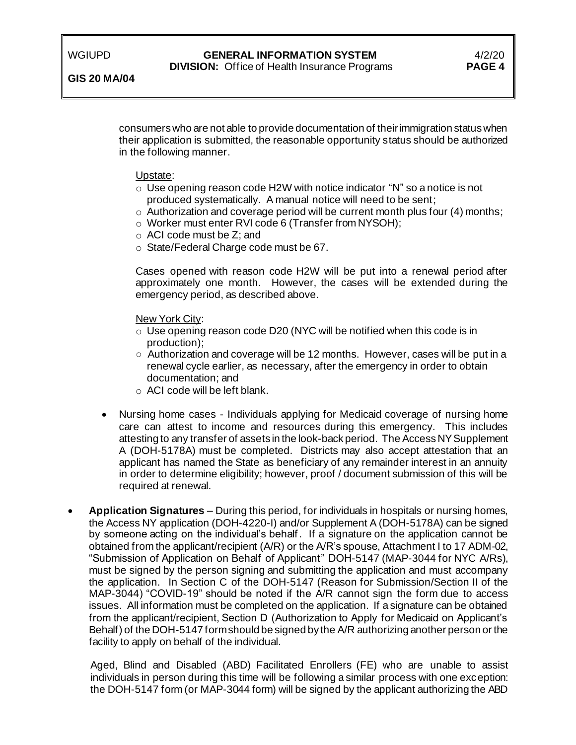**GIS 20 MA/04**

## WGIUPD **GENERAL INFORMATION SYSTEM** 4/2/20<br>**DIVISION:** Office of Health Insurance Programs **PAGE 4**

**DIVISION:** Office of Health Insurance Programs

consumers who are not able to provide documentation of their immigration status when their application is submitted, the reasonable opportunity status should be authorized in the following manner.

#### Upstate:

- o Use opening reason code H2W with notice indicator "N" so a notice is not produced systematically. A manual notice will need to be sent;
- $\circ$  Authorization and coverage period will be current month plus four (4) months;
- o Worker must enter RVI code 6 (Transfer from NYSOH);
- o ACI code must be Z; and
- o State/Federal Charge code must be 67.

Cases opened with reason code H2W will be put into a renewal period after approximately one month. However, the cases will be extended during the emergency period, as described above.

#### New York City:

- o Use opening reason code D20 (NYC will be notified when this code is in production);
- Authorization and coverage will be 12 months. However, cases will be put in a renewal cycle earlier, as necessary, after the emergency in order to obtain documentation; and
- o ACI code will be left blank.
- Nursing home cases Individuals applying for Medicaid coverage of nursing home care can attest to income and resources during this emergency. This includes attesting to any transfer of assets in the look-back period. The Access NY Supplement A (DOH-5178A) must be completed. Districts may also accept attestation that an applicant has named the State as beneficiary of any remainder interest in an annuity in order to determine eligibility; however, proof / document submission of this will be required at renewal.
- **Application Signatures** During this period, for individuals in hospitals or nursing homes, the Access NY application (DOH-4220-I) and/or Supplement A (DOH-5178A) can be signed by someone acting on the individual's behalf . If a signature on the application cannot be obtained from the applicant/recipient (A/R) or the A/R's spouse, Attachment I to 17 ADM-02, "Submission of Application on Behalf of Applicant" DOH-5147 (MAP-3044 for NYC A/Rs), must be signed by the person signing and submitting the application and must accompany the application. In Section C of the DOH-5147 (Reason for Submission/Section II of the MAP-3044) "COVID-19" should be noted if the A/R cannot sign the form due to access issues. All information must be completed on the application. If a signature can be obtained from the applicant/recipient, Section D (Authorization to Apply for Medicaid on Applicant's Behalf) of the DOH-5147 form should be signed by the A/R authorizing another person or the facility to apply on behalf of the individual.

Aged, Blind and Disabled (ABD) Facilitated Enrollers (FE) who are unable to assist individuals in person during this time will be following a similar process with one exception: the DOH-5147 form (or MAP-3044 form) will be signed by the applicant authorizing the ABD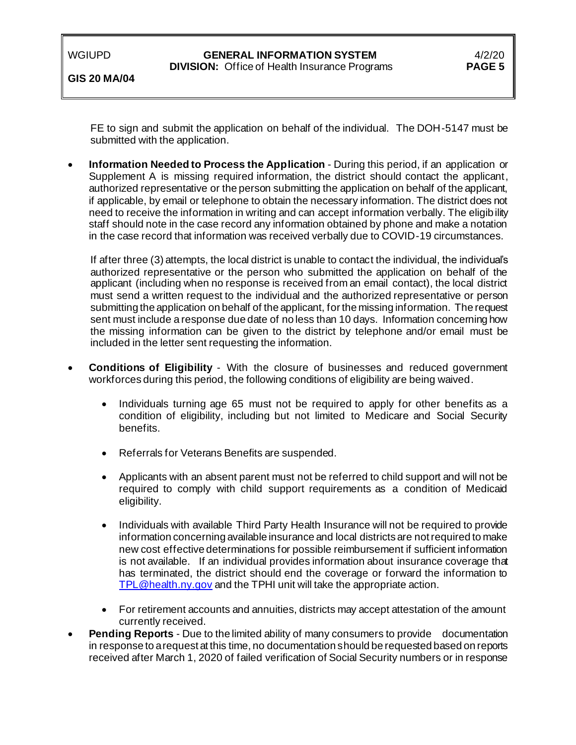| WGIUPD |  |  |
|--------|--|--|
|        |  |  |

**GIS 20 MA/04**

FE to sign and submit the application on behalf of the individual. The DOH-5147 must be submitted with the application.

• **Information Needed to Process the Application** - During this period, if an application or Supplement A is missing required information, the district should contact the applicant, authorized representative or the person submitting the application on behalf of the applicant, if applicable, by email or telephone to obtain the necessary information. The district does not need to receive the information in writing and can accept information verbally. The eligibility staff should note in the case record any information obtained by phone and make a notation in the case record that information was received verbally due to COVID-19 circumstances.

If after three (3) attempts, the local district is unable to contact the individual, the individual's authorized representative or the person who submitted the application on behalf of the applicant (including when no response is received from an email contact), the local district must send a written request to the individual and the authorized representative or person submitting the application on behalf of the applicant, for the missing information. The request sent must include a response due date of no less than 10 days. Information concerning how the missing information can be given to the district by telephone and/or email must be included in the letter sent requesting the information.

- **Conditions of Eligibility** With the closure of businesses and reduced government workforces during this period, the following conditions of eligibility are being waived.
	- Individuals turning age 65 must not be required to apply for other benefits as a condition of eligibility, including but not limited to Medicare and Social Security benefits.
	- Referrals for Veterans Benefits are suspended.
	- Applicants with an absent parent must not be referred to child support and will not be required to comply with child support requirements as a condition of Medicaid eligibility.
	- Individuals with available Third Party Health Insurance will not be required to provide information concerning available insurance and local districts are not required to make new cost effective determinations for possible reimbursement if sufficient information is not available. If an individual provides information about insurance coverage that has terminated, the district should end the coverage or forward the information to [TPL@health.ny.gov](mailto:TPL@health.ny.gov) and the TPHI unit will take the appropriate action.
	- For retirement accounts and annuities, districts may accept attestation of the amount currently received.
- **Pending Reports** Due to the limited ability of many consumers to provide documentation in response to a request at this time, no documentation should be requested based on reports received after March 1, 2020 of failed verification of Social Security numbers or in response